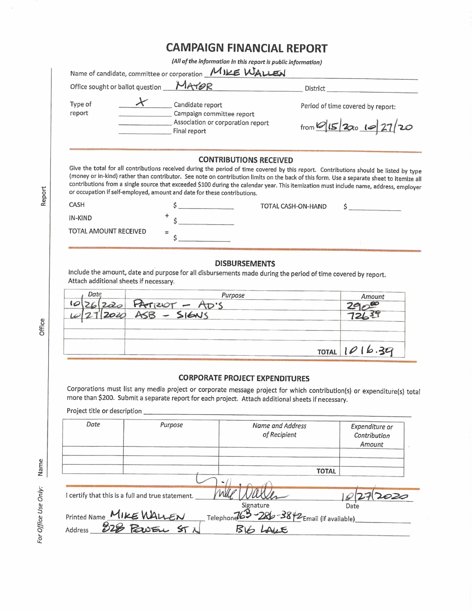## **CAMPAIGN FINANCIAL REPORT**

(All of the information in this report is public information)

|                              | Office sought or ballot question MAYOR                                                                                                                 | District                                                                                                                                                                                                                                                                                                                                                                                                                                                       |                                          |  |
|------------------------------|--------------------------------------------------------------------------------------------------------------------------------------------------------|----------------------------------------------------------------------------------------------------------------------------------------------------------------------------------------------------------------------------------------------------------------------------------------------------------------------------------------------------------------------------------------------------------------------------------------------------------------|------------------------------------------|--|
| Type of<br>report            | $\star$<br>Candidate report<br>Campaign committee report<br>Final report                                                                               | Period of time covered by report:<br>Association or corporation report<br>from 0 15 200 10 27/20                                                                                                                                                                                                                                                                                                                                                               |                                          |  |
|                              | or occupation if self-employed, amount and date for these contributions.                                                                               | <b>CONTRIBUTIONS RECEIVED</b><br>Give the total for all contributions received during the period of time covered by this report. Contributions should be listed by type<br>(money or in-kind) rather than contributor. See note on contribution limits on the back of this form. Use a separate sheet to itemize all<br>contributions from a single source that exceeded \$100 during the calendar year. This itemization must include name, address, employer |                                          |  |
| <b>CASH</b>                  |                                                                                                                                                        | TOTAL CASH-ON-HAND                                                                                                                                                                                                                                                                                                                                                                                                                                             |                                          |  |
| IN-KIND                      | $\frac{1}{2}$                                                                                                                                          |                                                                                                                                                                                                                                                                                                                                                                                                                                                                |                                          |  |
| TOTAL AMOUNT RECEIVED        |                                                                                                                                                        |                                                                                                                                                                                                                                                                                                                                                                                                                                                                |                                          |  |
| Date                         | Include the amount, date and purpose for all disbursements made during the period of time covered by report.<br>Attach additional sheets if necessary. | Purpose and a contract of the contract of the contract of the contract of the contract of the contract of the contract of the contract of the contract of the contract of the contract of the contract of the contract of the                                                                                                                                                                                                                                  | Amount                                   |  |
|                              |                                                                                                                                                        | $PATIZOT - AD'S$<br>$ASB - S16NS$                                                                                                                                                                                                                                                                                                                                                                                                                              |                                          |  |
|                              |                                                                                                                                                        |                                                                                                                                                                                                                                                                                                                                                                                                                                                                | TOTAL 1016.39                            |  |
| Project title or description |                                                                                                                                                        | <b>CORPORATE PROJECT EXPENDITURES</b><br>Corporations must list any media project or corporate message project for which contribution(s) or expenditure(s) total<br>more than \$200. Submit a separate report for each project. Attach additional sheets if necessary.                                                                                                                                                                                         |                                          |  |
| Date                         | Purpose                                                                                                                                                | Name and Address<br>of Recipient                                                                                                                                                                                                                                                                                                                                                                                                                               | Expenditure or<br>Contribution<br>Amount |  |
|                              |                                                                                                                                                        |                                                                                                                                                                                                                                                                                                                                                                                                                                                                | <b>TOTAL</b>                             |  |
|                              | I certify that this is a full and true statement.                                                                                                      | Signature                                                                                                                                                                                                                                                                                                                                                                                                                                                      | Date                                     |  |

Report

Office

For Office Use Only: Name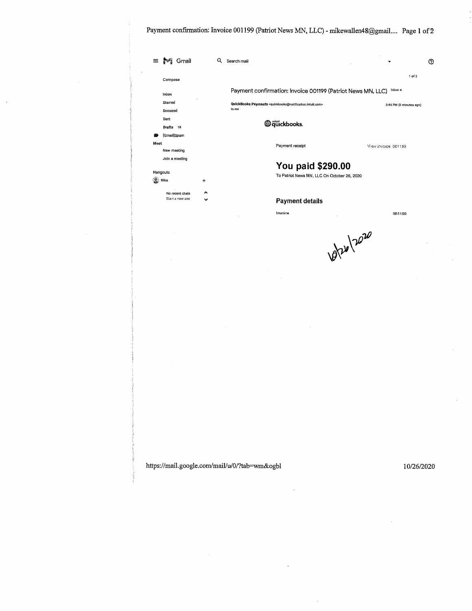Payment confirmation: Invoice 001199 (Patriot News MN, LLC) - mikewallen48@gmail.... Page 1 of 2

| Compose          |              |       |                                                                                               | 1 of 2                  |
|------------------|--------------|-------|-----------------------------------------------------------------------------------------------|-------------------------|
|                  |              |       | Payment confirmation: Invoice 001199 (Patriot News MN, LLC)                                   | Inbox x                 |
| Inbox            |              |       |                                                                                               |                         |
| Starred          |              | to me | QuickBooks Payments <quickbooks@notification.intuit.com></quickbooks@notification.intuit.com> | 3:46 PM (0 minutes ago) |
| Snoozed<br>Sent  |              |       |                                                                                               |                         |
| Drafts 18        |              |       | <b>O</b> quickbooks.                                                                          |                         |
| [Gmail]Spam<br>æ |              |       |                                                                                               |                         |
| Meet             |              |       |                                                                                               |                         |
| New meeting      |              |       | Payment receipt                                                                               | View invoice: 001199    |
| Join a meeting   |              |       |                                                                                               |                         |
|                  |              |       | You paid \$290.00                                                                             |                         |
| Hangouts         |              |       | To Patriot News MN, LLC On October 26, 2020                                                   |                         |
| <b>WELL</b> Mike | +            |       |                                                                                               |                         |
| No recent chals  | ́            |       |                                                                                               |                         |
| Start a new one  | $\checkmark$ |       | <b>Payment details</b>                                                                        |                         |
|                  |              |       | Invoice                                                                                       | 001199                  |
|                  |              |       |                                                                                               |                         |
|                  |              |       |                                                                                               |                         |
|                  |              |       |                                                                                               |                         |
|                  |              |       |                                                                                               |                         |
|                  |              |       |                                                                                               |                         |
|                  |              |       |                                                                                               |                         |
|                  |              |       |                                                                                               |                         |

 $\hat{L}$